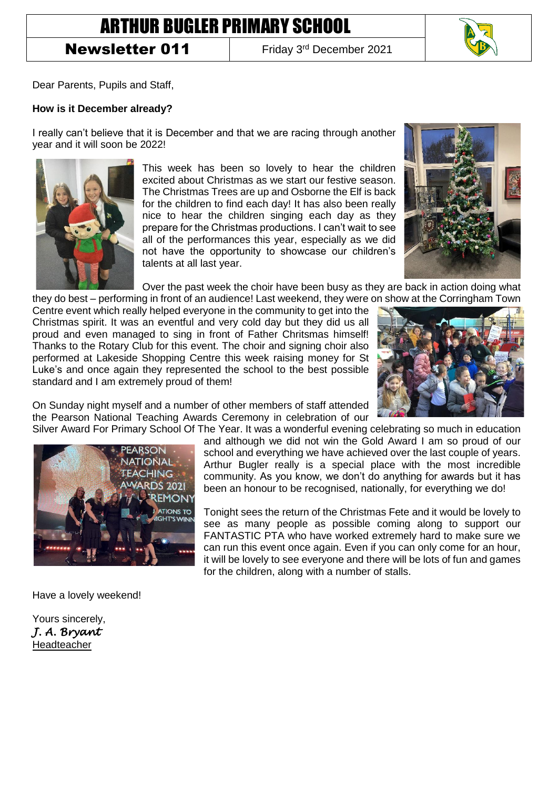## ARTHUR BUGLER PRIMARY SCHOOL

Newsletter 011

Friday 3rd December 2021



Dear Parents, Pupils and Staff,

## **How is it December already?**

I really can't believe that it is December and that we are racing through another year and it will soon be 2022!



This week has been so lovely to hear the children excited about Christmas as we start our festive season. The Christmas Trees are up and Osborne the Elf is back for the children to find each day! It has also been really nice to hear the children singing each day as they prepare for the Christmas productions. I can't wait to see all of the performances this year, especially as we did not have the opportunity to showcase our children's talents at all last year.



Over the past week the choir have been busy as they are back in action doing what they do best – performing in front of an audience! Last weekend, they were on show at the Corringham Town

Centre event which really helped everyone in the community to get into the Christmas spirit. It was an eventful and very cold day but they did us all proud and even managed to sing in front of Father Chritsmas himself! Thanks to the Rotary Club for this event. The choir and signing choir also performed at Lakeside Shopping Centre this week raising money for St Luke's and once again they represented the school to the best possible standard and I am extremely proud of them!



On Sunday night myself and a number of other members of staff attended the Pearson National Teaching Awards Ceremony in celebration of our

Silver Award For Primary School Of The Year. It was a wonderful evening celebrating so much in education and although we did not win the Gold Award I am so proud of our school and everything we have achieved over the last couple of years. Arthur Bugler really is a special place with the most incredible community. As you know, we don't do anything for awards but it has been an honour to be recognised, nationally, for everything we do!

> Tonight sees the return of the Christmas Fete and it would be lovely to see as many people as possible coming along to support our FANTASTIC PTA who have worked extremely hard to make sure we can run this event once again. Even if you can only come for an hour, it will be lovely to see everyone and there will be lots of fun and games for the children, along with a number of stalls.



Have a lovely weekend!

Yours sincerely, *J. A. Bryant*  Headteacher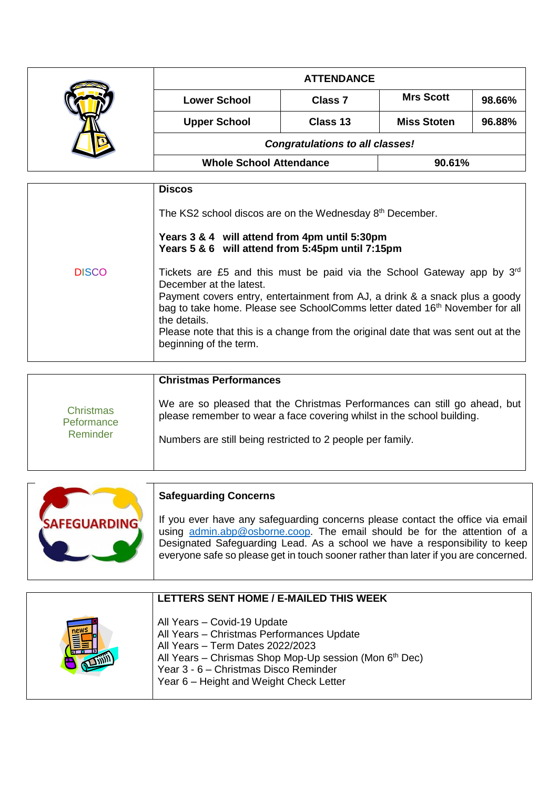|  | <b>ATTENDANCE</b>                      |                |                    |        |
|--|----------------------------------------|----------------|--------------------|--------|
|  | <b>Lower School</b>                    | <b>Class 7</b> | <b>Mrs Scott</b>   | 98.66% |
|  | <b>Upper School</b>                    | Class 13       | <b>Miss Stoten</b> | 96.88% |
|  | <b>Congratulations to all classes!</b> |                |                    |        |
|  | <b>Whole School Attendance</b>         |                | 90.61%             |        |

|              | <b>Discos</b>                                                                                                                                                                                                                                                                                                                                                                                                   |
|--------------|-----------------------------------------------------------------------------------------------------------------------------------------------------------------------------------------------------------------------------------------------------------------------------------------------------------------------------------------------------------------------------------------------------------------|
|              | The KS2 school discos are on the Wednesday 8 <sup>th</sup> December.                                                                                                                                                                                                                                                                                                                                            |
|              | Years 3 & 4 will attend from 4pm until 5:30pm<br>Years 5 & 6 will attend from 5:45pm until 7:15pm                                                                                                                                                                                                                                                                                                               |
| <b>DISCO</b> | Tickets are £5 and this must be paid via the School Gateway app by $3^{rd}$<br>December at the latest.<br>Payment covers entry, entertainment from AJ, a drink & a snack plus a goody<br>bag to take home. Please see SchoolComms letter dated 16 <sup>th</sup> November for all<br>the details.<br>Please note that this is a change from the original date that was sent out at the<br>beginning of the term. |

|                                            | <b>Christmas Performances</b>                                                                                                                       |
|--------------------------------------------|-----------------------------------------------------------------------------------------------------------------------------------------------------|
| <b>Christmas</b><br>Peformance<br>Reminder | We are so pleased that the Christmas Performances can still go ahead, but<br>please remember to wear a face covering whilst in the school building. |
|                                            | Numbers are still being restricted to 2 people per family.                                                                                          |
|                                            |                                                                                                                                                     |

|                     | <b>Safeguarding Concerns</b>                                                                                                                                                                                                                                                                                                    |
|---------------------|---------------------------------------------------------------------------------------------------------------------------------------------------------------------------------------------------------------------------------------------------------------------------------------------------------------------------------|
| <b>SAFEGUARDING</b> | If you ever have any safeguarding concerns please contact the office via email<br>using admin.abp@osborne.coop. The email should be for the attention of a<br>Designated Safeguarding Lead. As a school we have a responsibility to keep<br>everyone safe so please get in touch sooner rather than later if you are concerned. |

| LETTERS SENT HOME / E-MAILED THIS WEEK                                                                                                                                                                                                                                 |
|------------------------------------------------------------------------------------------------------------------------------------------------------------------------------------------------------------------------------------------------------------------------|
| All Years - Covid-19 Update<br>All Years - Christmas Performances Update<br>All Years - Term Dates 2022/2023<br>All Years - Chrismas Shop Mop-Up session (Mon 6 <sup>th</sup> Dec)<br>Year 3 - 6 - Christmas Disco Reminder<br>Year 6 - Height and Weight Check Letter |